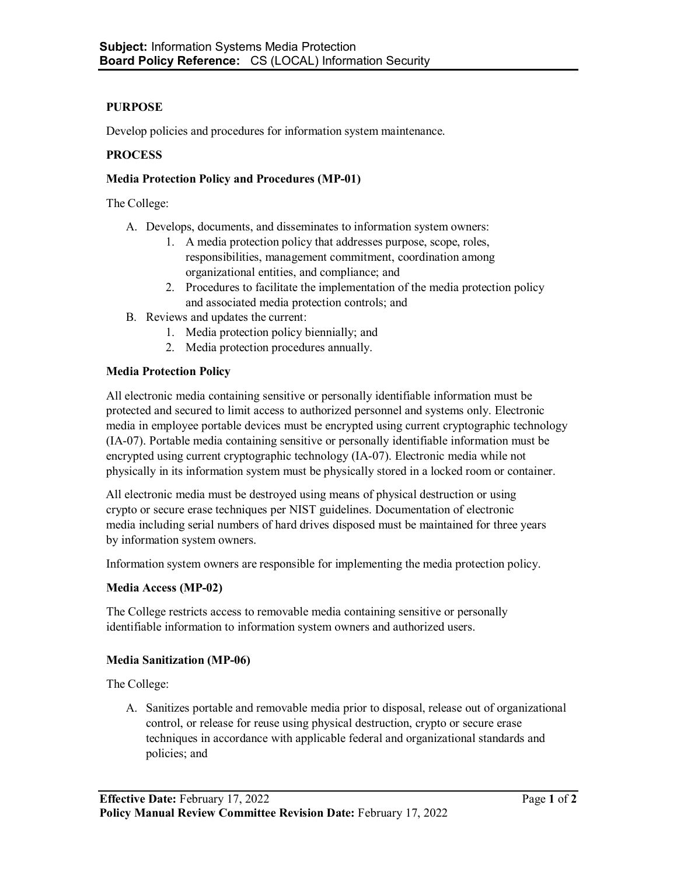# **PURPOSE**

Develop policies and procedures for information system maintenance.

# **PROCESS**

### **Media Protection Policy and Procedures (MP-01)**

The College:

- A. Develops, documents, and disseminates to information system owners:
	- 1. A media protection policy that addresses purpose, scope, roles, responsibilities, management commitment, coordination among organizational entities, and compliance; and
	- 2. Procedures to facilitate the implementation of the media protection policy and associated media protection controls; and
- B. Reviews and updates the current:
	- 1. Media protection policy biennially; and
	- 2. Media protection procedures annually.

### **Media Protection Policy**

All electronic media containing sensitive or personally identifiable information must be protected and secured to limit access to authorized personnel and systems only. Electronic media in employee portable devices must be encrypted using current cryptographic technology (IA-07). Portable media containing sensitive or personally identifiable information must be encrypted using current cryptographic technology (IA-07). Electronic media while not physically in its information system must be physically stored in a locked room or container.

All electronic media must be destroyed using means of physical destruction or using crypto or secure erase techniques per NIST guidelines. Documentation of electronic media including serial numbers of hard drives disposed must be maintained for three years by information system owners.

Information system owners are responsible for implementing the media protection policy.

#### **Media Access (MP-02)**

The College restricts access to removable media containing sensitive or personally identifiable information to information system owners and authorized users.

# **Media Sanitization (MP-06)**

The College:

A. Sanitizes portable and removable media prior to disposal, release out of organizational control, or release for reuse using physical destruction, crypto or secure erase techniques in accordance with applicable federal and organizational standards and policies; and